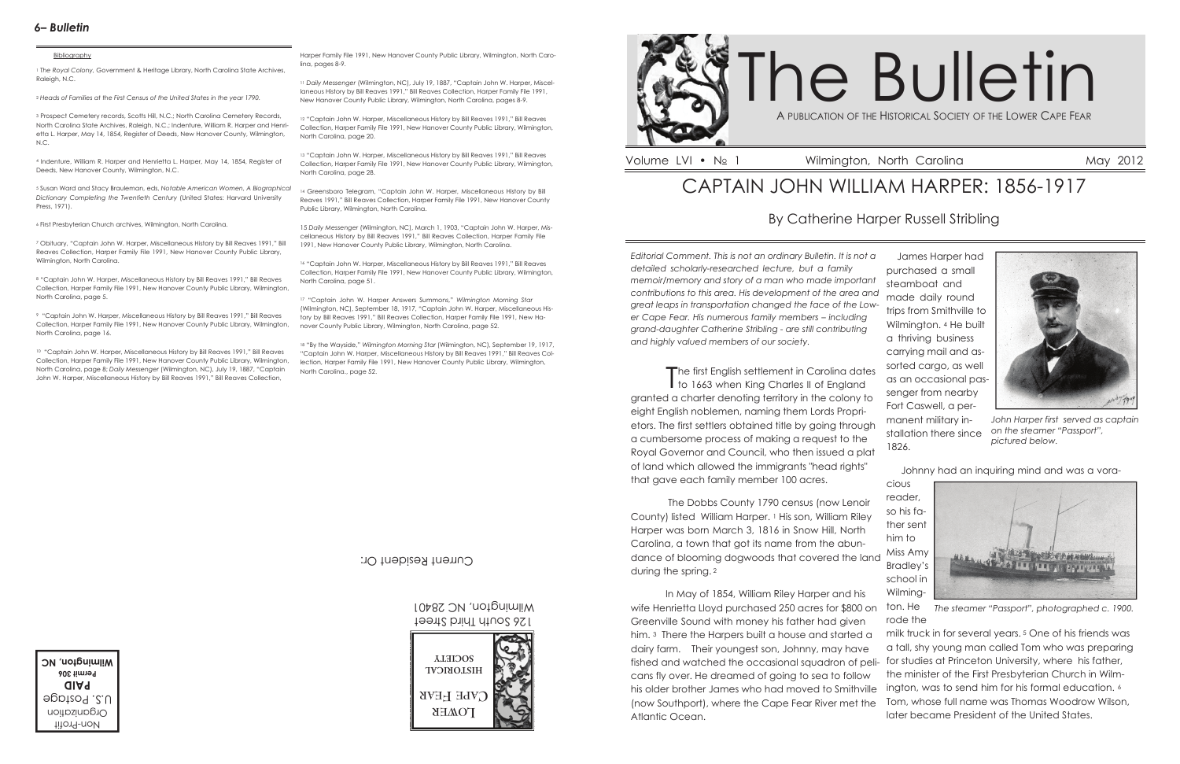*Editorial Comment. This is not an ordinary Bulletin. It is not a detailed scholarly-researched lecture, but a family memoir/memory and story of a man who made important contributions to this area. His development of the area and great leaps in transportation changed the face of the Lower Cape Fear. His numerous family members – including grand-daughter Catherine Stribling - are still contributing and highly valued members of our society.*

The first English settlement in Carolina dates I to 1663 when King Charles II of England granted a charter denoting territory in the colony to eight English noblemen, naming them Lords Proprietors. The first settlers obtained title by going through a cumbersome process of making a request to the Royal Governor and Council, who then issued a plat of land which allowed the immigrants "head rights" that gave each family member 100 acres.

 The Dobbs County 1790 census (now Lenoir County) listed William Harper. <sup>1</sup> His son, William Riley Harper was born March 3, 1816 in Snow Hill, North Carolina, a town that got its name from the abundance of blooming dogwoods that covered the land during the spring.<sup>2</sup>

<sup>3</sup> Prospect Cemetery records, Scotts Hill, N.C.; North Carolina Cemetery Records, North Carolina State Archives, Raleigh, N.C.; Indenture, William R. Harper and Henrietta L. Harper, May 14, 1854, Register of Deeds, New Hanover County, Wilmington, N.C.

> James Harper had purchased a small steamboat and made daily round trips from Smithville to Wilmington. <sup>4</sup> He built a thriving business carrying mail and assorted cargo, as well as an occasional passenger from nearby Fort Caswell, a permanent military installation there since 1826.

> > Johnny had an inquiring mind and was a vora-

cious reader, so his father sent him to Miss Amy Bradley's school in Wilming-



## CAPTAIN JOHN WILLIAM HARPER: 1856-1917

### By Catherine Harper Russell Stribling

# A PUBLICATION OF THE HISTORICAL SOCIETY OF THE LOWER CAPE FEAR The Bulletin

### *6– Bulletin*

#### **Bibliography**

<sup>1</sup> *The Royal Colony,* Government & Heritage Library, North Carolina State Archives, Raleigh, N.C.

<sup>2</sup> *Heads of Families at the First Census of the United States in the year 1790.*

<sup>4</sup> Indenture, William R. Harper and Henrietta L. Harper, May 14, 1854, Register of Deeds, New Hanover County, Wilmington, N.C.

> 126 South Third Street Wilmington, NC 28401

<sup>5</sup> Susan Ward and Stacy Brauleman, eds, *Notable American Women, A Biographical Dictionary Completing the Twentieth Century* (United States: Harvard University Press, 1971).

<sup>6</sup> First Presbyterian Church archives, Wilmington, North Carolina.

<sup>7</sup> Obituary, "Captain John W. Harper, Miscellaneous History by Bill Reaves 1991," Bill Reaves Collection, Harper Family File 1991, New Hanover County Public Library, Wilmington, North Carolina.

<sup>8</sup> "Captain John W. Harper, Miscellaneous History by Bill Reaves 1991," Bill Reaves Collection, Harper Family File 1991, New Hanover County Public Library, Wilmington, North Carolina, page 5.

> In May of 1854, William Riley Harper and his wife Henrietta Lloyd purchased 250 acres for \$800 on Greenville Sound with money his father had given him. <sup>3</sup> There the Harpers built a house and started a dairy farm. Their youngest son, Johnny, may have fished and watched the occasional squadron of peli-for studies at Princeton University, where his father, cans fly over. He dreamed of going to sea to follow his older brother James who had moved to Smithville (now Southport), where the Cape Fear River met the Atlantic Ocean. ton. He rode the milk truck in for several years. <sup>5</sup> One of his friends was a tall, shy young man called Tom who was preparing the minister of the First Presbyterian Church in Wilmington, was to send him for his formal education. <sup>6</sup> Tom, whose full name was Thomas Woodrow Wilson, later became President of the United States. *The steamer "Passport", photographed c. 1900.*

<sup>9</sup> "Captain John W. Harper, Miscellaneous History by Bill Reaves 1991," Bill Reaves Collection, Harper Family File 1991, New Hanover County Public Library, Wilmington, North Carolina, page 16.

<sup>10</sup> "Captain John W. Harper, Miscellaneous History by Bill Reaves 1991," Bill Reaves Collection, Harper Family File 1991, New Hanover County Public Library, Wilmington, North Carolina, page 8; *Daily Messenger* (Wilmington, NC), July 19, 1887, "Captain John W. Harper, Miscellaneous History by Bill Reaves 1991," Bill Reaves Collection,

Harper Family File 1991, New Hanover County Public Library, Wilmington, North Carolina, pages 8-9.

<sup>11</sup> *Daily Messenger* (Wilmington, NC), July 19, 1887, "Captain John W. Harper, Miscellaneous History by Bill Reaves 1991," Bill Reaves Collection, Harper Family File 1991, New Hanover County Public Library, Wilmington, North Carolina, pages 8-9.

<sup>12</sup> "Captain John W. Harper, Miscellaneous History by Bill Reaves 1991," Bill Reaves Collection, Harper Family File 1991, New Hanover County Public Library, Wilmington, North Carolina, page 20.

<sup>13</sup> "Captain John W. Harper, Miscellaneous History by Bill Reaves 1991," Bill Reaves Collection, Harper Family File 1991, New Hanover County Public Library, Wilmington, North Carolina, page 28.

<sup>14</sup> Greensboro Telegram, "Captain John W. Harper, Miscellaneous History by Bill Reaves 1991," Bill Reaves Collection, Harper Family File 1991, New Hanover County Public Library, Wilmington, North Carolina.

15 *Daily Messenger* (Wilmington, NC), March 1, 1903, "Captain John W. Harper, Miscellaneous History by Bill Reaves 1991," Bill Reaves Collection, Harper Family File 1991, New Hanover County Public Library, Wilmington, North Carolina.

<sup>16</sup> "Captain John W. Harper, Miscellaneous History by Bill Reaves 1991," Bill Reaves Collection, Harper Family File 1991, New Hanover County Public Library, Wilmington, North Carolina, page 51.

<sup>17</sup> "Captain John W. Harper Answers Summons," *Wilmington Morning Star* (Wilmington, NC), September 18, 1917, "Captain John W. Harper, Miscellaneous History by Bill Reaves 1991," Bill Reaves Collection, Harper Family File 1991, New Hanover County Public Library, Wilmington, North Carolina, page 52.

<sup>18</sup> "By the Wayside," *Wilmington Morning Star* (Wilmington, NC), September 19, 1917, "Captain John W. Harper, Miscellaneous History by Bill Reaves 1991," Bill Reaves Collection, Harper Family File 1991, New Hanover County Public Library, Wilmington, North Carolina., page 52.

Non-Profit Organization U.S. Postage **PAID Permit 306 Wilmington, NC**





Volume LVI • No 1 Wilmington, North Carolina May 2012

Current Resident Or:



*John Harper first served as captain on the steamer "Passport", pictured below.*